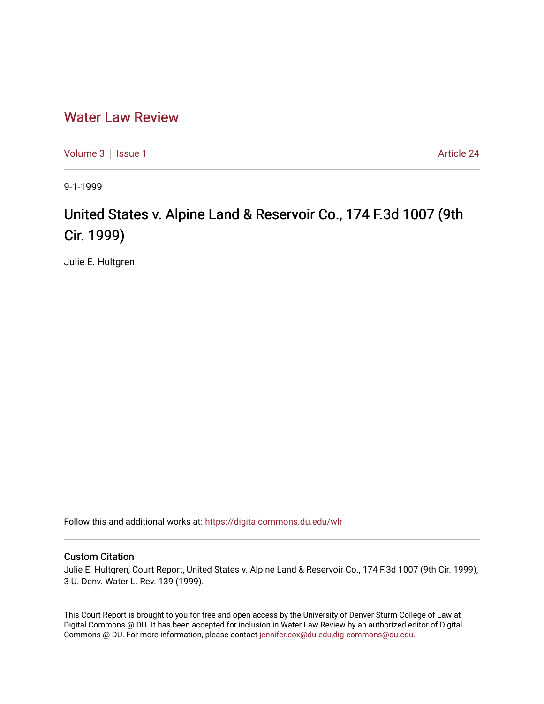## [Water Law Review](https://digitalcommons.du.edu/wlr)

[Volume 3](https://digitalcommons.du.edu/wlr/vol3) | [Issue 1](https://digitalcommons.du.edu/wlr/vol3/iss1) Article 24

9-1-1999

## United States v. Alpine Land & Reservoir Co., 174 F.3d 1007 (9th Cir. 1999)

Julie E. Hultgren

Follow this and additional works at: [https://digitalcommons.du.edu/wlr](https://digitalcommons.du.edu/wlr?utm_source=digitalcommons.du.edu%2Fwlr%2Fvol3%2Fiss1%2F24&utm_medium=PDF&utm_campaign=PDFCoverPages) 

## Custom Citation

Julie E. Hultgren, Court Report, United States v. Alpine Land & Reservoir Co., 174 F.3d 1007 (9th Cir. 1999), 3 U. Denv. Water L. Rev. 139 (1999).

This Court Report is brought to you for free and open access by the University of Denver Sturm College of Law at Digital Commons @ DU. It has been accepted for inclusion in Water Law Review by an authorized editor of Digital Commons @ DU. For more information, please contact [jennifer.cox@du.edu,dig-commons@du.edu.](mailto:jennifer.cox@du.edu,dig-commons@du.edu)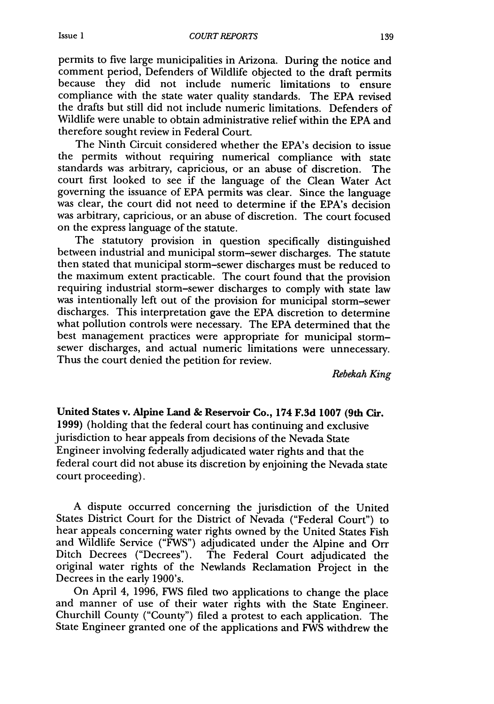permits to five large municipalities in Arizona. During the notice and comment period, Defenders of Wildlife objected to the draft permits because they did not include numeric limitations to ensure compliance with the state water quality standards. The EPA revised the drafts but still did not include numeric limitations. Defenders of Wildlife were unable to obtain administrative relief within the EPA and therefore sought review in Federal Court.

The Ninth Circuit considered whether the EPA's decision to issue the permits without requiring numerical compliance with state standards was arbitrary, capricious, or an abuse of discretion. The court first looked to see if the language of the Clean Water Act governing the issuance of EPA permits was clear. Since the language was clear, the court did not need to determine if the EPA's decision was arbitrary, capricious, or an abuse of discretion. The court focused on the express language of the statute.

The statutory provision in question specifically distinguished between industrial and municipal storm-sewer discharges. The statute then stated that municipal storm-sewer discharges must be reduced to the maximum extent practicable. The court found that the provision requiring industrial storm-sewer discharges to comply with state law was intentionally left out of the provision for municipal storm-sewer discharges. This interpretation gave the EPA discretion to determine what pollution controls were necessary. The EPA determined that the best management practices were appropriate for municipal stormsewer discharges, and actual numeric limitations were unnecessary. Thus the court denied the petition for review.

*Rebekah King*

United States v. Alpine Land **& Reservoir Co.,** 174 **F.3d 1007** (9th **Cir.** 1999) (holding that the federal court has continuing and exclusive jurisdiction to hear appeals from decisions of the Nevada State Engineer involving federally adjudicated water rights and that the federal court did not abuse its discretion by enjoining the Nevada state court proceeding).

A dispute occurred concerning the jurisdiction of the United States District Court for the District of Nevada ("Federal Court") to hear appeals concerning water rights owned by the United States Fish and Wildlife Service ("FWS") adjudicated under the Alpine and Orr Ditch Decrees ("Decrees"). The Federal Court adjudicated the original water rights of the Newlands Reclamation Project in the Decrees in the early 1900's.

On April 4, 1996, FWS filed two applications to change the place and manner of use of their water rights with the State Engineer. Churchill County ("County") filed a protest to each application. The State Engineer granted one of the applications and FWS withdrew the